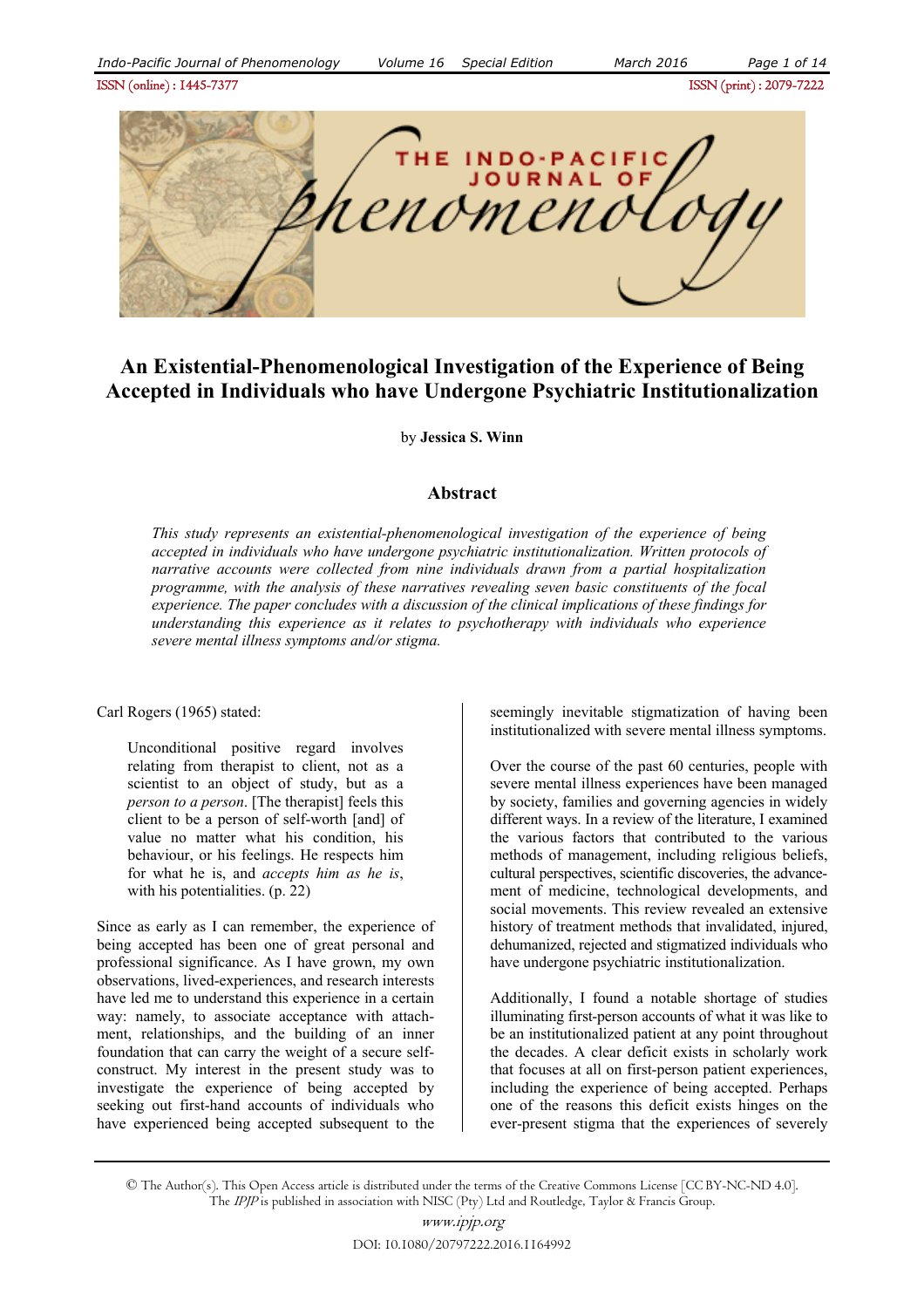ISSN (online) : 1445-7377ISSN (print) : 2079-7222



# **An Existential-Phenomenological Investigation of the Experience of Being Accepted in Individuals who have Undergone Psychiatric Institutionalization**

by **Jessica S. Winn**

### **Abstract**

*This study represents an existential-phenomenological investigation of the experience of being accepted in individuals who have undergone psychiatric institutionalization. Written protocols of narrative accounts were collected from nine individuals drawn from a partial hospitalization programme, with the analysis of these narratives revealing seven basic constituents of the focal experience. The paper concludes with a discussion of the clinical implications of these findings for understanding this experience as it relates to psychotherapy with individuals who experience severe mental illness symptoms and/or stigma.* 

Carl Rogers (1965) stated:

Unconditional positive regard involves relating from therapist to client, not as a scientist to an object of study, but as a *person to a person*. [The therapist] feels this client to be a person of self-worth [and] of value no matter what his condition, his behaviour, or his feelings. He respects him for what he is, and *accepts him as he is*, with his potentialities. (p. 22)

Since as early as I can remember, the experience of being accepted has been one of great personal and professional significance. As I have grown, my own observations, lived-experiences, and research interests have led me to understand this experience in a certain way: namely, to associate acceptance with attachment, relationships, and the building of an inner foundation that can carry the weight of a secure selfconstruct. My interest in the present study was to investigate the experience of being accepted by seeking out first-hand accounts of individuals who have experienced being accepted subsequent to the seemingly inevitable stigmatization of having been institutionalized with severe mental illness symptoms.

Over the course of the past 60 centuries, people with severe mental illness experiences have been managed by society, families and governing agencies in widely different ways. In a review of the literature, I examined the various factors that contributed to the various methods of management, including religious beliefs, cultural perspectives, scientific discoveries, the advancement of medicine, technological developments, and social movements. This review revealed an extensive history of treatment methods that invalidated, injured, dehumanized, rejected and stigmatized individuals who have undergone psychiatric institutionalization.

Additionally, I found a notable shortage of studies illuminating first-person accounts of what it was like to be an institutionalized patient at any point throughout the decades. A clear deficit exists in scholarly work that focuses at all on first-person patient experiences, including the experience of being accepted. Perhaps one of the reasons this deficit exists hinges on the ever-present stigma that the experiences of severely

© The Author(s). This Open Access article is distributed under the terms of the Creative Commons License [CC BY-NC-ND 4.0]. The IPJP is published in association with NISC (Pty) Ltd and Routledge, Taylor & Francis Group.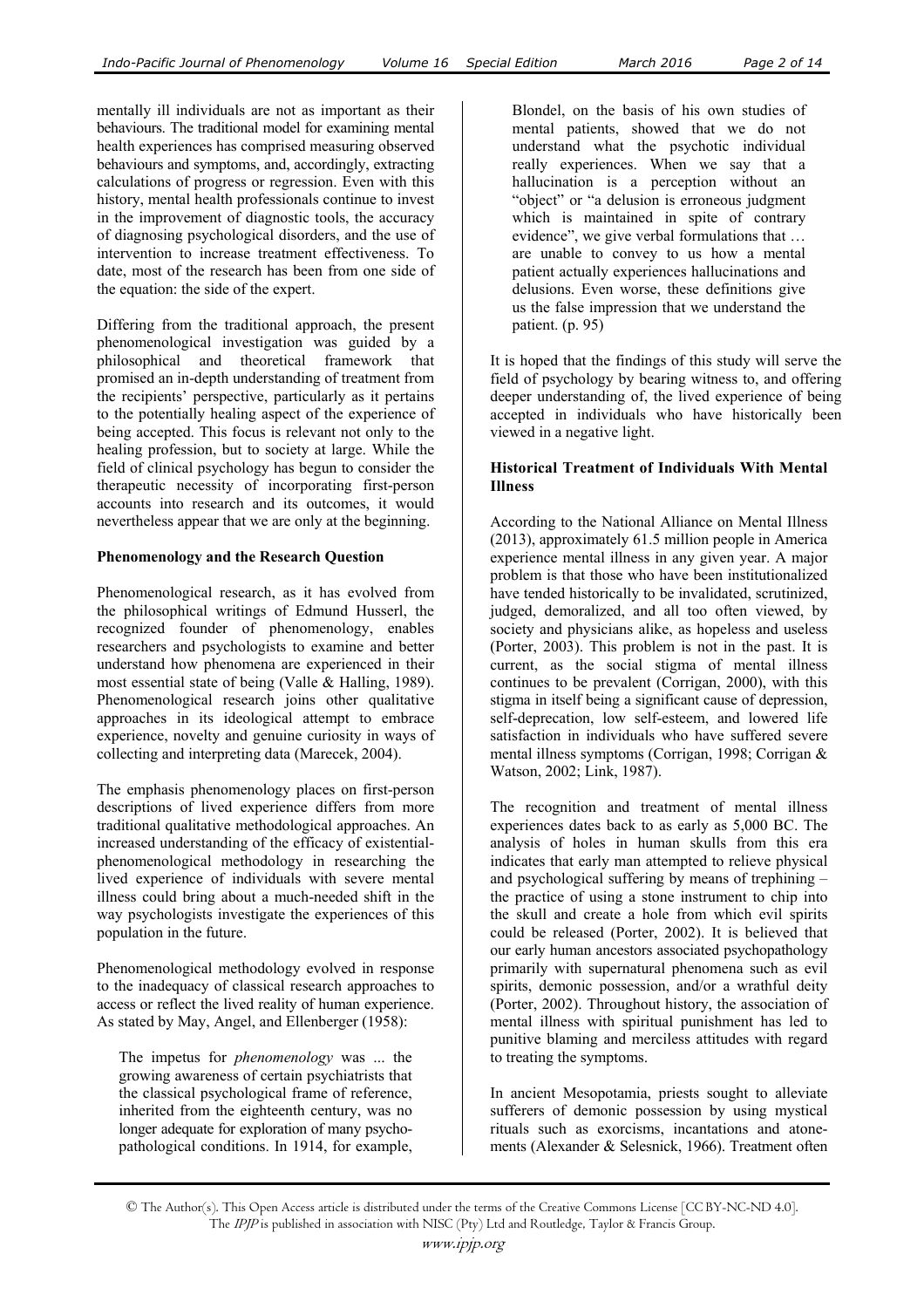mentally ill individuals are not as important as their behaviours. The traditional model for examining mental health experiences has comprised measuring observed behaviours and symptoms, and, accordingly, extracting calculations of progress or regression. Even with this history, mental health professionals continue to invest in the improvement of diagnostic tools, the accuracy of diagnosing psychological disorders, and the use of intervention to increase treatment effectiveness. To date, most of the research has been from one side of the equation: the side of the expert.

Differing from the traditional approach, the present phenomenological investigation was guided by a philosophical and theoretical framework that promised an in-depth understanding of treatment from the recipients' perspective, particularly as it pertains to the potentially healing aspect of the experience of being accepted. This focus is relevant not only to the healing profession, but to society at large. While the field of clinical psychology has begun to consider the therapeutic necessity of incorporating first-person accounts into research and its outcomes, it would nevertheless appear that we are only at the beginning.

# **Phenomenology and the Research Question**

Phenomenological research, as it has evolved from the philosophical writings of Edmund Husserl, the recognized founder of phenomenology, enables researchers and psychologists to examine and better understand how phenomena are experienced in their most essential state of being (Valle & Halling, 1989). Phenomenological research joins other qualitative approaches in its ideological attempt to embrace experience, novelty and genuine curiosity in ways of collecting and interpreting data (Marecek, 2004).

The emphasis phenomenology places on first-person descriptions of lived experience differs from more traditional qualitative methodological approaches. An increased understanding of the efficacy of existentialphenomenological methodology in researching the lived experience of individuals with severe mental illness could bring about a much-needed shift in the way psychologists investigate the experiences of this population in the future.

Phenomenological methodology evolved in response to the inadequacy of classical research approaches to access or reflect the lived reality of human experience. As stated by May, Angel, and Ellenberger (1958):

The impetus for *phenomenology* was ... the growing awareness of certain psychiatrists that the classical psychological frame of reference, inherited from the eighteenth century, was no longer adequate for exploration of many psychopathological conditions. In 1914, for example,

Blondel, on the basis of his own studies of mental patients, showed that we do not understand what the psychotic individual really experiences. When we say that a hallucination is a perception without an "object" or "a delusion is erroneous judgment which is maintained in spite of contrary evidence", we give verbal formulations that … are unable to convey to us how a mental patient actually experiences hallucinations and delusions. Even worse, these definitions give us the false impression that we understand the patient. (p. 95)

It is hoped that the findings of this study will serve the field of psychology by bearing witness to, and offering deeper understanding of, the lived experience of being accepted in individuals who have historically been viewed in a negative light.

# **Historical Treatment of Individuals With Mental Illness**

According to the National Alliance on Mental Illness (2013), approximately 61.5 million people in America experience mental illness in any given year. A major problem is that those who have been institutionalized have tended historically to be invalidated, scrutinized, judged, demoralized, and all too often viewed, by society and physicians alike, as hopeless and useless (Porter, 2003). This problem is not in the past. It is current, as the social stigma of mental illness continues to be prevalent (Corrigan, 2000), with this stigma in itself being a significant cause of depression, self-deprecation, low self-esteem, and lowered life satisfaction in individuals who have suffered severe mental illness symptoms (Corrigan, 1998; Corrigan & Watson, 2002; Link, 1987).

The recognition and treatment of mental illness experiences dates back to as early as 5,000 BC. The analysis of holes in human skulls from this era indicates that early man attempted to relieve physical and psychological suffering by means of trephining – the practice of using a stone instrument to chip into the skull and create a hole from which evil spirits could be released (Porter, 2002). It is believed that our early human ancestors associated psychopathology primarily with supernatural phenomena such as evil spirits, demonic possession, and/or a wrathful deity (Porter, 2002). Throughout history, the association of mental illness with spiritual punishment has led to punitive blaming and merciless attitudes with regard to treating the symptoms.

In ancient Mesopotamia, priests sought to alleviate sufferers of demonic possession by using mystical rituals such as exorcisms, incantations and atonements (Alexander & Selesnick, 1966). Treatment often

<sup>©</sup> The Author(s). This Open Access article is distributed under the terms of the Creative Commons License [CC BY-NC-ND 4.0]. The IPJP is published in association with NISC (Pty) Ltd and Routledge, Taylor & Francis Group.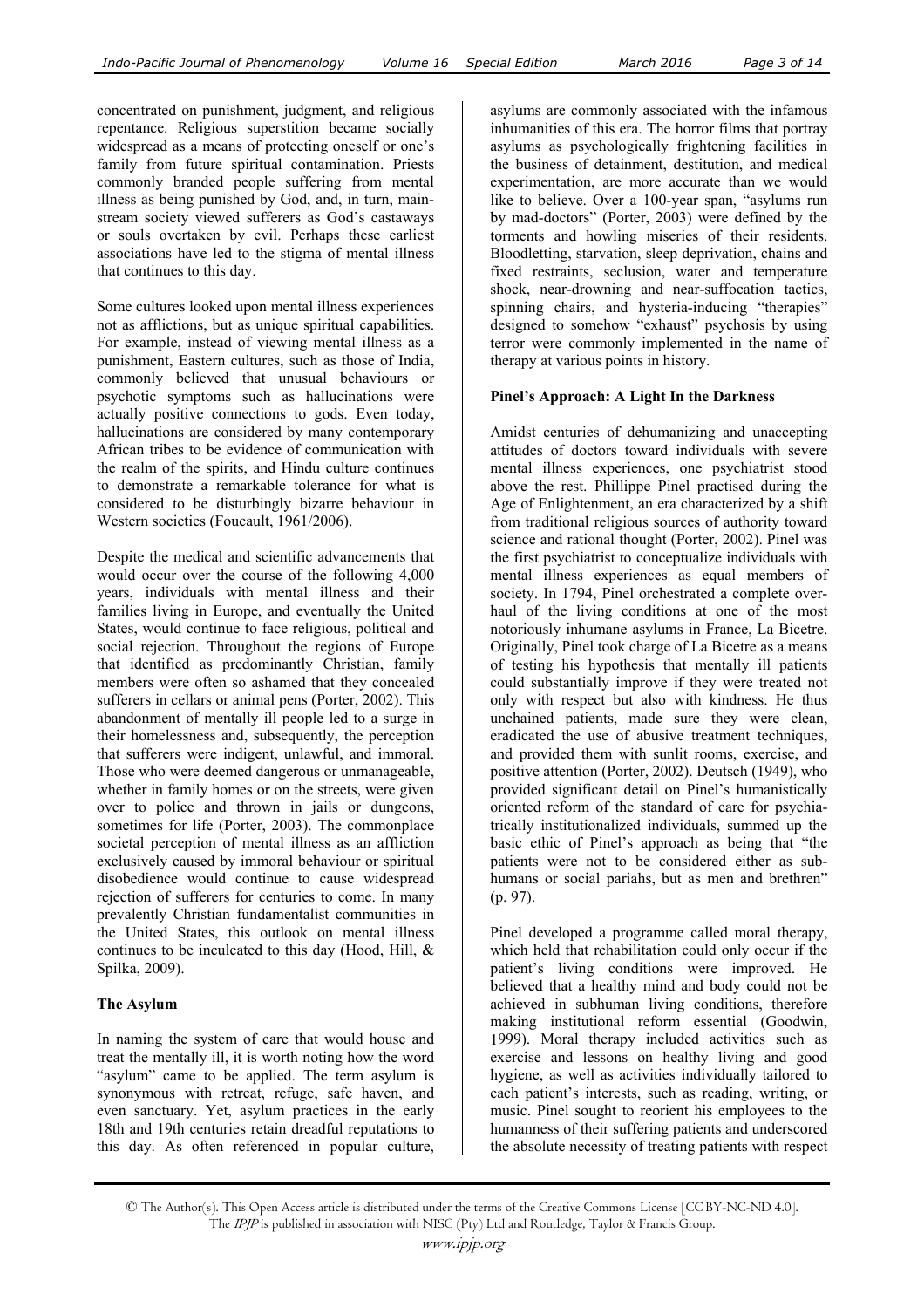concentrated on punishment, judgment, and religious repentance. Religious superstition became socially widespread as a means of protecting oneself or one's family from future spiritual contamination. Priests commonly branded people suffering from mental illness as being punished by God, and, in turn, mainstream society viewed sufferers as God's castaways or souls overtaken by evil. Perhaps these earliest associations have led to the stigma of mental illness that continues to this day.

Some cultures looked upon mental illness experiences not as afflictions, but as unique spiritual capabilities. For example, instead of viewing mental illness as a punishment, Eastern cultures, such as those of India, commonly believed that unusual behaviours or psychotic symptoms such as hallucinations were actually positive connections to gods. Even today, hallucinations are considered by many contemporary African tribes to be evidence of communication with the realm of the spirits, and Hindu culture continues to demonstrate a remarkable tolerance for what is considered to be disturbingly bizarre behaviour in Western societies (Foucault, 1961/2006).

Despite the medical and scientific advancements that would occur over the course of the following 4,000 years, individuals with mental illness and their families living in Europe, and eventually the United States, would continue to face religious, political and social rejection. Throughout the regions of Europe that identified as predominantly Christian, family members were often so ashamed that they concealed sufferers in cellars or animal pens (Porter, 2002). This abandonment of mentally ill people led to a surge in their homelessness and, subsequently, the perception that sufferers were indigent, unlawful, and immoral. Those who were deemed dangerous or unmanageable, whether in family homes or on the streets, were given over to police and thrown in jails or dungeons, sometimes for life (Porter, 2003). The commonplace societal perception of mental illness as an affliction exclusively caused by immoral behaviour or spiritual disobedience would continue to cause widespread rejection of sufferers for centuries to come. In many prevalently Christian fundamentalist communities in the United States, this outlook on mental illness continues to be inculcated to this day (Hood, Hill, & Spilka, 2009).

# **The Asylum**

In naming the system of care that would house and treat the mentally ill, it is worth noting how the word "asylum" came to be applied. The term asylum is synonymous with retreat, refuge, safe haven, and even sanctuary. Yet, asylum practices in the early 18th and 19th centuries retain dreadful reputations to this day. As often referenced in popular culture, asylums are commonly associated with the infamous inhumanities of this era. The horror films that portray asylums as psychologically frightening facilities in the business of detainment, destitution, and medical experimentation, are more accurate than we would like to believe. Over a 100-year span, "asylums run by mad-doctors" (Porter, 2003) were defined by the torments and howling miseries of their residents. Bloodletting, starvation, sleep deprivation, chains and fixed restraints, seclusion, water and temperature shock, near-drowning and near-suffocation tactics, spinning chairs, and hysteria-inducing "therapies" designed to somehow "exhaust" psychosis by using terror were commonly implemented in the name of therapy at various points in history.

### **Pinel's Approach: A Light In the Darkness**

Amidst centuries of dehumanizing and unaccepting attitudes of doctors toward individuals with severe mental illness experiences, one psychiatrist stood above the rest. Phillippe Pinel practised during the Age of Enlightenment, an era characterized by a shift from traditional religious sources of authority toward science and rational thought (Porter, 2002). Pinel was the first psychiatrist to conceptualize individuals with mental illness experiences as equal members of society. In 1794, Pinel orchestrated a complete overhaul of the living conditions at one of the most notoriously inhumane asylums in France, La Bicetre. Originally, Pinel took charge of La Bicetre as a means of testing his hypothesis that mentally ill patients could substantially improve if they were treated not only with respect but also with kindness. He thus unchained patients, made sure they were clean, eradicated the use of abusive treatment techniques, and provided them with sunlit rooms, exercise, and positive attention (Porter, 2002). Deutsch (1949), who provided significant detail on Pinel's humanistically oriented reform of the standard of care for psychiatrically institutionalized individuals, summed up the basic ethic of Pinel's approach as being that "the patients were not to be considered either as subhumans or social pariahs, but as men and brethren" (p. 97).

Pinel developed a programme called moral therapy, which held that rehabilitation could only occur if the patient's living conditions were improved. He believed that a healthy mind and body could not be achieved in subhuman living conditions, therefore making institutional reform essential (Goodwin, 1999). Moral therapy included activities such as exercise and lessons on healthy living and good hygiene, as well as activities individually tailored to each patient's interests, such as reading, writing, or music. Pinel sought to reorient his employees to the humanness of their suffering patients and underscored the absolute necessity of treating patients with respect

<sup>©</sup> The Author(s). This Open Access article is distributed under the terms of the Creative Commons License [CC BY-NC-ND 4.0]. The IPJP is published in association with NISC (Pty) Ltd and Routledge, Taylor & Francis Group.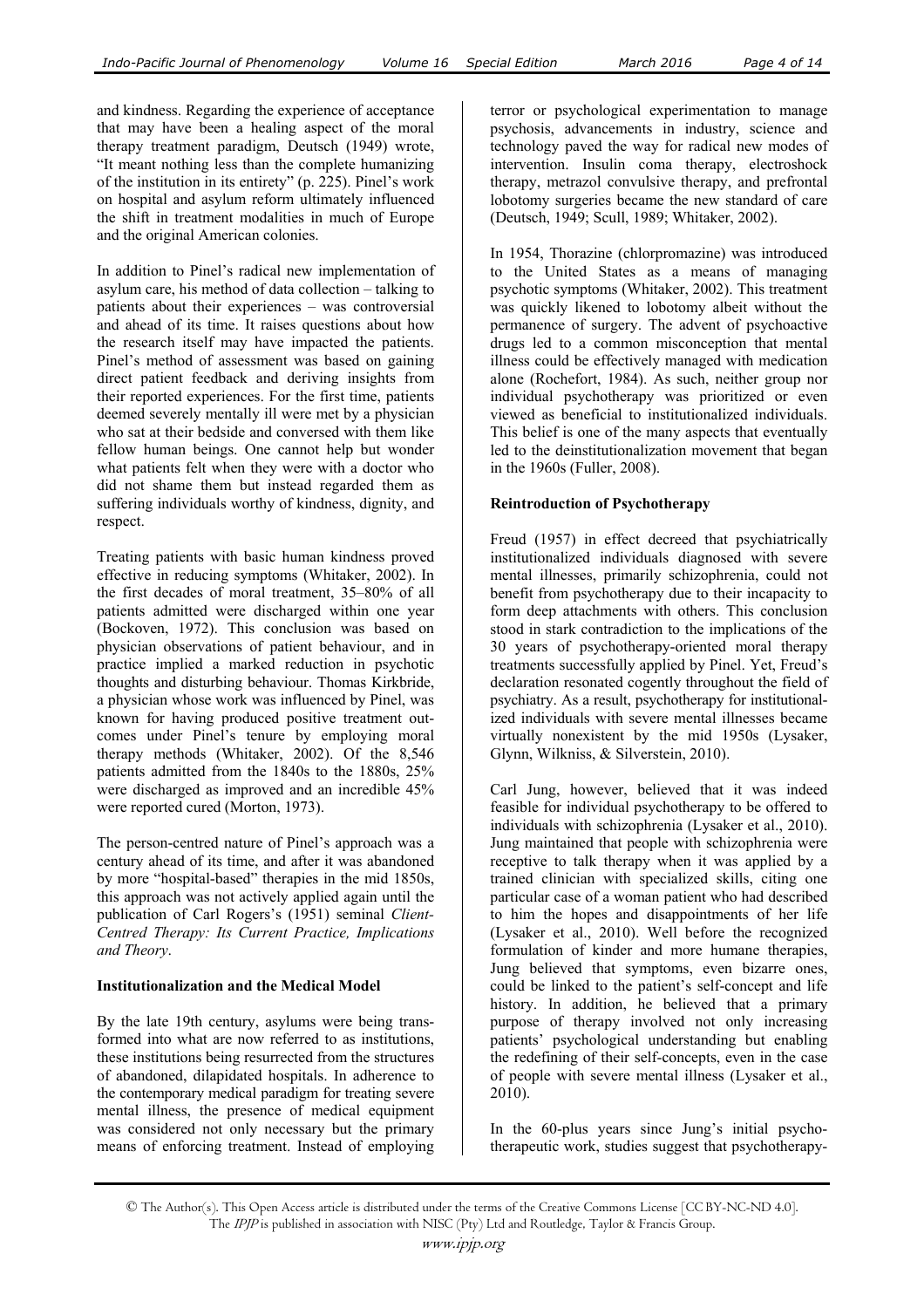and kindness. Regarding the experience of acceptance that may have been a healing aspect of the moral therapy treatment paradigm, Deutsch (1949) wrote, "It meant nothing less than the complete humanizing of the institution in its entirety" (p. 225). Pinel's work on hospital and asylum reform ultimately influenced the shift in treatment modalities in much of Europe and the original American colonies.

In addition to Pinel's radical new implementation of asylum care, his method of data collection – talking to patients about their experiences – was controversial and ahead of its time. It raises questions about how the research itself may have impacted the patients. Pinel's method of assessment was based on gaining direct patient feedback and deriving insights from their reported experiences. For the first time, patients deemed severely mentally ill were met by a physician who sat at their bedside and conversed with them like fellow human beings. One cannot help but wonder what patients felt when they were with a doctor who did not shame them but instead regarded them as suffering individuals worthy of kindness, dignity, and respect.

Treating patients with basic human kindness proved effective in reducing symptoms (Whitaker, 2002). In the first decades of moral treatment, 35–80% of all patients admitted were discharged within one year (Bockoven, 1972). This conclusion was based on physician observations of patient behaviour, and in practice implied a marked reduction in psychotic thoughts and disturbing behaviour. Thomas Kirkbride, a physician whose work was influenced by Pinel, was known for having produced positive treatment outcomes under Pinel's tenure by employing moral therapy methods (Whitaker, 2002). Of the 8,546 patients admitted from the 1840s to the 1880s, 25% were discharged as improved and an incredible 45% were reported cured (Morton, 1973).

The person-centred nature of Pinel's approach was a century ahead of its time, and after it was abandoned by more "hospital-based" therapies in the mid 1850s, this approach was not actively applied again until the publication of Carl Rogers's (1951) seminal *Client-Centred Therapy: Its Current Practice, Implications and Theory*.

# **Institutionalization and the Medical Model**

By the late 19th century, asylums were being transformed into what are now referred to as institutions, these institutions being resurrected from the structures of abandoned, dilapidated hospitals. In adherence to the contemporary medical paradigm for treating severe mental illness, the presence of medical equipment was considered not only necessary but the primary means of enforcing treatment. Instead of employing terror or psychological experimentation to manage psychosis, advancements in industry, science and technology paved the way for radical new modes of intervention. Insulin coma therapy, electroshock therapy, metrazol convulsive therapy, and prefrontal lobotomy surgeries became the new standard of care (Deutsch, 1949; Scull, 1989; Whitaker, 2002).

In 1954, Thorazine (chlorpromazine) was introduced to the United States as a means of managing psychotic symptoms (Whitaker, 2002). This treatment was quickly likened to lobotomy albeit without the permanence of surgery. The advent of psychoactive drugs led to a common misconception that mental illness could be effectively managed with medication alone (Rochefort, 1984). As such, neither group nor individual psychotherapy was prioritized or even viewed as beneficial to institutionalized individuals. This belief is one of the many aspects that eventually led to the deinstitutionalization movement that began in the 1960s (Fuller, 2008).

### **Reintroduction of Psychotherapy**

Freud (1957) in effect decreed that psychiatrically institutionalized individuals diagnosed with severe mental illnesses, primarily schizophrenia, could not benefit from psychotherapy due to their incapacity to form deep attachments with others. This conclusion stood in stark contradiction to the implications of the 30 years of psychotherapy-oriented moral therapy treatments successfully applied by Pinel. Yet, Freud's declaration resonated cogently throughout the field of psychiatry. As a result, psychotherapy for institutionalized individuals with severe mental illnesses became virtually nonexistent by the mid 1950s (Lysaker, Glynn, Wilkniss, & Silverstein, 2010).

Carl Jung, however, believed that it was indeed feasible for individual psychotherapy to be offered to individuals with schizophrenia (Lysaker et al., 2010). Jung maintained that people with schizophrenia were receptive to talk therapy when it was applied by a trained clinician with specialized skills, citing one particular case of a woman patient who had described to him the hopes and disappointments of her life (Lysaker et al., 2010). Well before the recognized formulation of kinder and more humane therapies, Jung believed that symptoms, even bizarre ones, could be linked to the patient's self-concept and life history. In addition, he believed that a primary purpose of therapy involved not only increasing patients' psychological understanding but enabling the redefining of their self-concepts, even in the case of people with severe mental illness (Lysaker et al., 2010).

In the 60-plus years since Jung's initial psychotherapeutic work, studies suggest that psychotherapy-

<sup>©</sup> The Author(s). This Open Access article is distributed under the terms of the Creative Commons License [CC BY-NC-ND 4.0]. The IPJP is published in association with NISC (Pty) Ltd and Routledge, Taylor & Francis Group.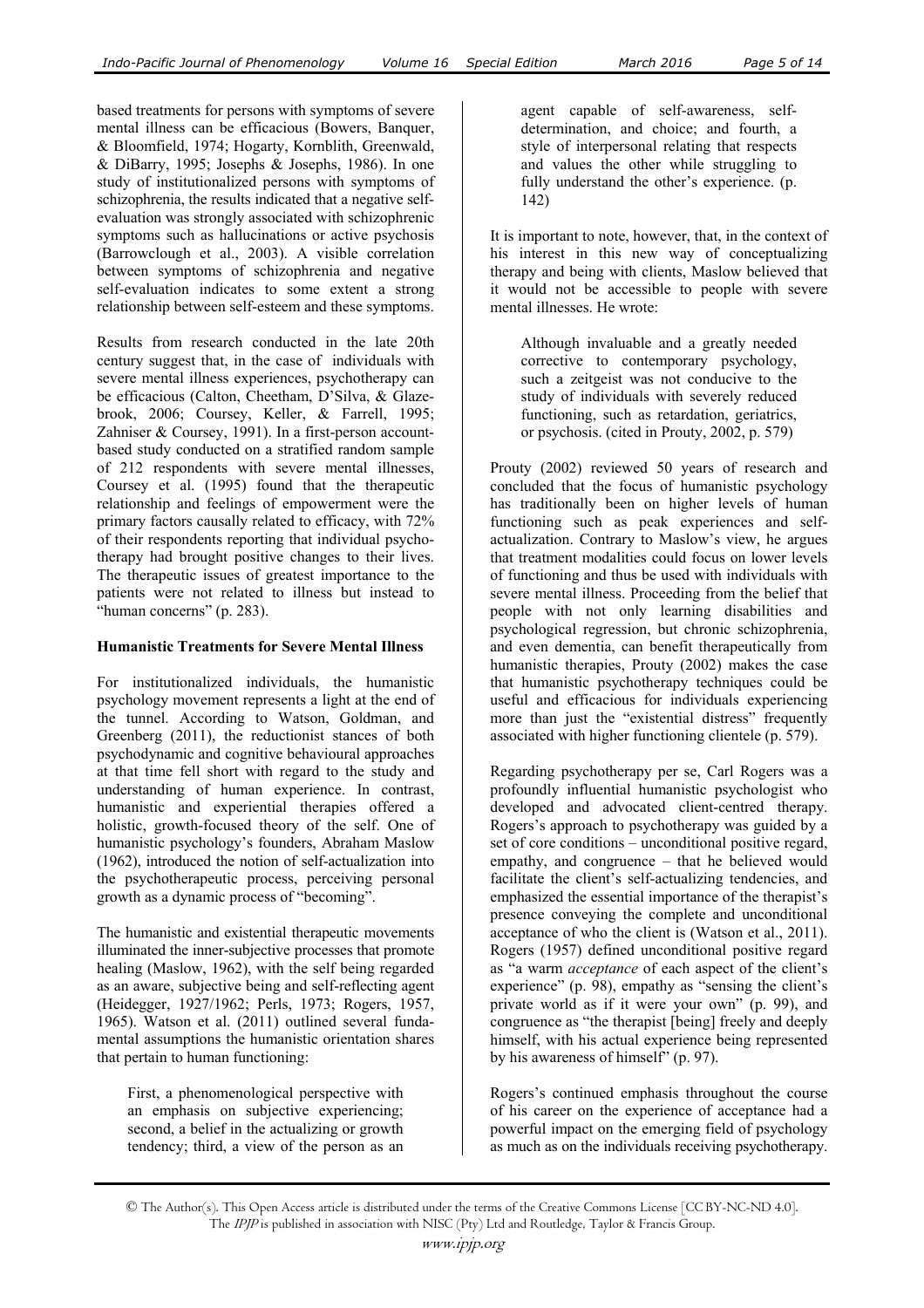based treatments for persons with symptoms of severe mental illness can be efficacious (Bowers, Banquer, & Bloomfield, 1974; Hogarty, Kornblith, Greenwald, & DiBarry, 1995; Josephs & Josephs, 1986). In one study of institutionalized persons with symptoms of schizophrenia, the results indicated that a negative selfevaluation was strongly associated with schizophrenic symptoms such as hallucinations or active psychosis (Barrowclough et al., 2003). A visible correlation between symptoms of schizophrenia and negative self-evaluation indicates to some extent a strong relationship between self-esteem and these symptoms.

Results from research conducted in the late 20th century suggest that, in the case of individuals with severe mental illness experiences, psychotherapy can be efficacious (Calton, Cheetham, D'Silva, & Glazebrook, 2006; Coursey, Keller, & Farrell, 1995; Zahniser & Coursey, 1991). In a first-person accountbased study conducted on a stratified random sample of 212 respondents with severe mental illnesses, Coursey et al. (1995) found that the therapeutic relationship and feelings of empowerment were the primary factors causally related to efficacy, with 72% of their respondents reporting that individual psychotherapy had brought positive changes to their lives. The therapeutic issues of greatest importance to the patients were not related to illness but instead to "human concerns" (p. 283).

### **Humanistic Treatments for Severe Mental Illness**

For institutionalized individuals, the humanistic psychology movement represents a light at the end of the tunnel. According to Watson, Goldman, and Greenberg (2011), the reductionist stances of both psychodynamic and cognitive behavioural approaches at that time fell short with regard to the study and understanding of human experience. In contrast, humanistic and experiential therapies offered a holistic, growth-focused theory of the self. One of humanistic psychology's founders, Abraham Maslow (1962), introduced the notion of self-actualization into the psychotherapeutic process, perceiving personal growth as a dynamic process of "becoming".

The humanistic and existential therapeutic movements illuminated the inner-subjective processes that promote healing (Maslow, 1962), with the self being regarded as an aware, subjective being and self-reflecting agent (Heidegger, 1927/1962; Perls, 1973; Rogers, 1957, 1965). Watson et al. (2011) outlined several fundamental assumptions the humanistic orientation shares that pertain to human functioning:

First, a phenomenological perspective with an emphasis on subjective experiencing; second, a belief in the actualizing or growth tendency; third, a view of the person as an

agent capable of self-awareness, selfdetermination, and choice; and fourth, a style of interpersonal relating that respects and values the other while struggling to fully understand the other's experience. (p. 142)

It is important to note, however, that, in the context of his interest in this new way of conceptualizing therapy and being with clients, Maslow believed that it would not be accessible to people with severe mental illnesses. He wrote:

Although invaluable and a greatly needed corrective to contemporary psychology, such a zeitgeist was not conducive to the study of individuals with severely reduced functioning, such as retardation, geriatrics, or psychosis. (cited in Prouty, 2002, p. 579)

Prouty (2002) reviewed 50 years of research and concluded that the focus of humanistic psychology has traditionally been on higher levels of human functioning such as peak experiences and selfactualization. Contrary to Maslow's view, he argues that treatment modalities could focus on lower levels of functioning and thus be used with individuals with severe mental illness. Proceeding from the belief that people with not only learning disabilities and psychological regression, but chronic schizophrenia, and even dementia, can benefit therapeutically from humanistic therapies, Prouty (2002) makes the case that humanistic psychotherapy techniques could be useful and efficacious for individuals experiencing more than just the "existential distress" frequently associated with higher functioning clientele (p. 579).

Regarding psychotherapy per se, Carl Rogers was a profoundly influential humanistic psychologist who developed and advocated client-centred therapy. Rogers's approach to psychotherapy was guided by a set of core conditions – unconditional positive regard, empathy, and congruence – that he believed would facilitate the client's self-actualizing tendencies, and emphasized the essential importance of the therapist's presence conveying the complete and unconditional acceptance of who the client is (Watson et al., 2011). Rogers (1957) defined unconditional positive regard as "a warm *acceptance* of each aspect of the client's experience" (p. 98), empathy as "sensing the client's private world as if it were your own" (p. 99), and congruence as "the therapist [being] freely and deeply himself, with his actual experience being represented by his awareness of himself" (p. 97).

Rogers's continued emphasis throughout the course of his career on the experience of acceptance had a powerful impact on the emerging field of psychology as much as on the individuals receiving psychotherapy.

<sup>©</sup> The Author(s). This Open Access article is distributed under the terms of the Creative Commons License [CC BY-NC-ND 4.0]. The IPJP is published in association with NISC (Pty) Ltd and Routledge, Taylor & Francis Group.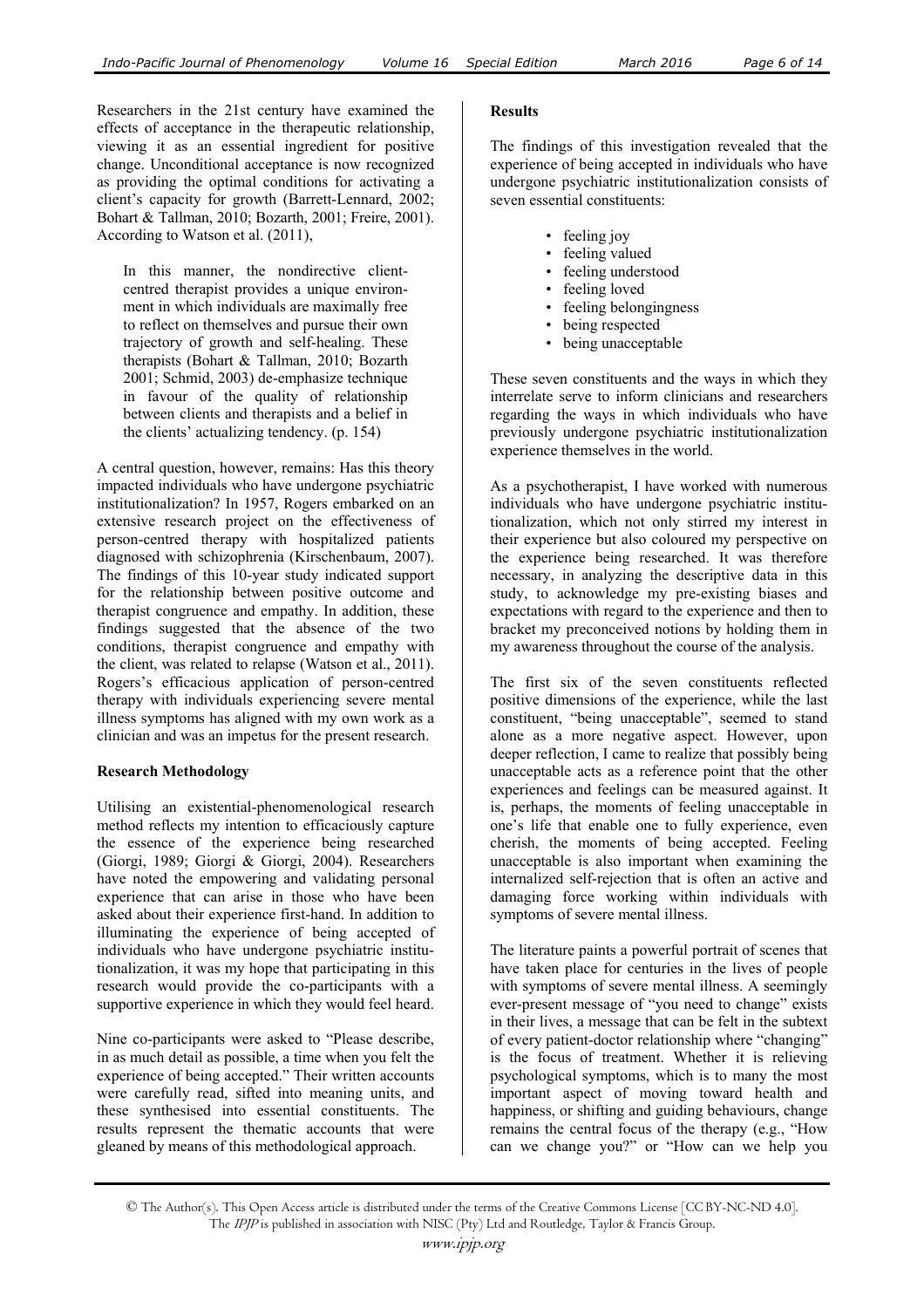Researchers in the 21st century have examined the effects of acceptance in the therapeutic relationship, viewing it as an essential ingredient for positive change. Unconditional acceptance is now recognized as providing the optimal conditions for activating a client's capacity for growth (Barrett-Lennard, 2002; Bohart & Tallman, 2010; Bozarth, 2001; Freire, 2001). According to Watson et al. (2011),

In this manner, the nondirective clientcentred therapist provides a unique environment in which individuals are maximally free to reflect on themselves and pursue their own trajectory of growth and self-healing. These therapists (Bohart & Tallman, 2010; Bozarth 2001; Schmid, 2003) de-emphasize technique in favour of the quality of relationship between clients and therapists and a belief in the clients' actualizing tendency. (p. 154)

A central question, however, remains: Has this theory impacted individuals who have undergone psychiatric institutionalization? In 1957, Rogers embarked on an extensive research project on the effectiveness of person-centred therapy with hospitalized patients diagnosed with schizophrenia (Kirschenbaum, 2007). The findings of this 10-year study indicated support for the relationship between positive outcome and therapist congruence and empathy. In addition, these findings suggested that the absence of the two conditions, therapist congruence and empathy with the client, was related to relapse (Watson et al., 2011). Rogers's efficacious application of person-centred therapy with individuals experiencing severe mental illness symptoms has aligned with my own work as a clinician and was an impetus for the present research.

### **Research Methodology**

Utilising an existential-phenomenological research method reflects my intention to efficaciously capture the essence of the experience being researched (Giorgi, 1989; Giorgi & Giorgi, 2004). Researchers have noted the empowering and validating personal experience that can arise in those who have been asked about their experience first-hand. In addition to illuminating the experience of being accepted of individuals who have undergone psychiatric institutionalization, it was my hope that participating in this research would provide the co-participants with a supportive experience in which they would feel heard.

Nine co-participants were asked to "Please describe, in as much detail as possible, a time when you felt the experience of being accepted." Their written accounts were carefully read, sifted into meaning units, and these synthesised into essential constituents. The results represent the thematic accounts that were gleaned by means of this methodological approach.

#### **Results**

The findings of this investigation revealed that the experience of being accepted in individuals who have undergone psychiatric institutionalization consists of seven essential constituents:

- feeling joy
- feeling valued
- feeling understood
- feeling loved
- feeling belongingness
- being respected
- being unacceptable

These seven constituents and the ways in which they interrelate serve to inform clinicians and researchers regarding the ways in which individuals who have previously undergone psychiatric institutionalization experience themselves in the world.

As a psychotherapist, I have worked with numerous individuals who have undergone psychiatric institutionalization, which not only stirred my interest in their experience but also coloured my perspective on the experience being researched. It was therefore necessary, in analyzing the descriptive data in this study, to acknowledge my pre-existing biases and expectations with regard to the experience and then to bracket my preconceived notions by holding them in my awareness throughout the course of the analysis.

The first six of the seven constituents reflected positive dimensions of the experience, while the last constituent, "being unacceptable", seemed to stand alone as a more negative aspect. However, upon deeper reflection, I came to realize that possibly being unacceptable acts as a reference point that the other experiences and feelings can be measured against. It is, perhaps, the moments of feeling unacceptable in one's life that enable one to fully experience, even cherish, the moments of being accepted. Feeling unacceptable is also important when examining the internalized self-rejection that is often an active and damaging force working within individuals with symptoms of severe mental illness.

The literature paints a powerful portrait of scenes that have taken place for centuries in the lives of people with symptoms of severe mental illness. A seemingly ever-present message of "you need to change" exists in their lives, a message that can be felt in the subtext of every patient-doctor relationship where "changing" is the focus of treatment. Whether it is relieving psychological symptoms, which is to many the most important aspect of moving toward health and happiness, or shifting and guiding behaviours, change remains the central focus of the therapy (e.g., "How can we change you?" or "How can we help you

<sup>©</sup> The Author(s). This Open Access article is distributed under the terms of the Creative Commons License [CC BY-NC-ND 4.0]. The IPJP is published in association with NISC (Pty) Ltd and Routledge, Taylor & Francis Group.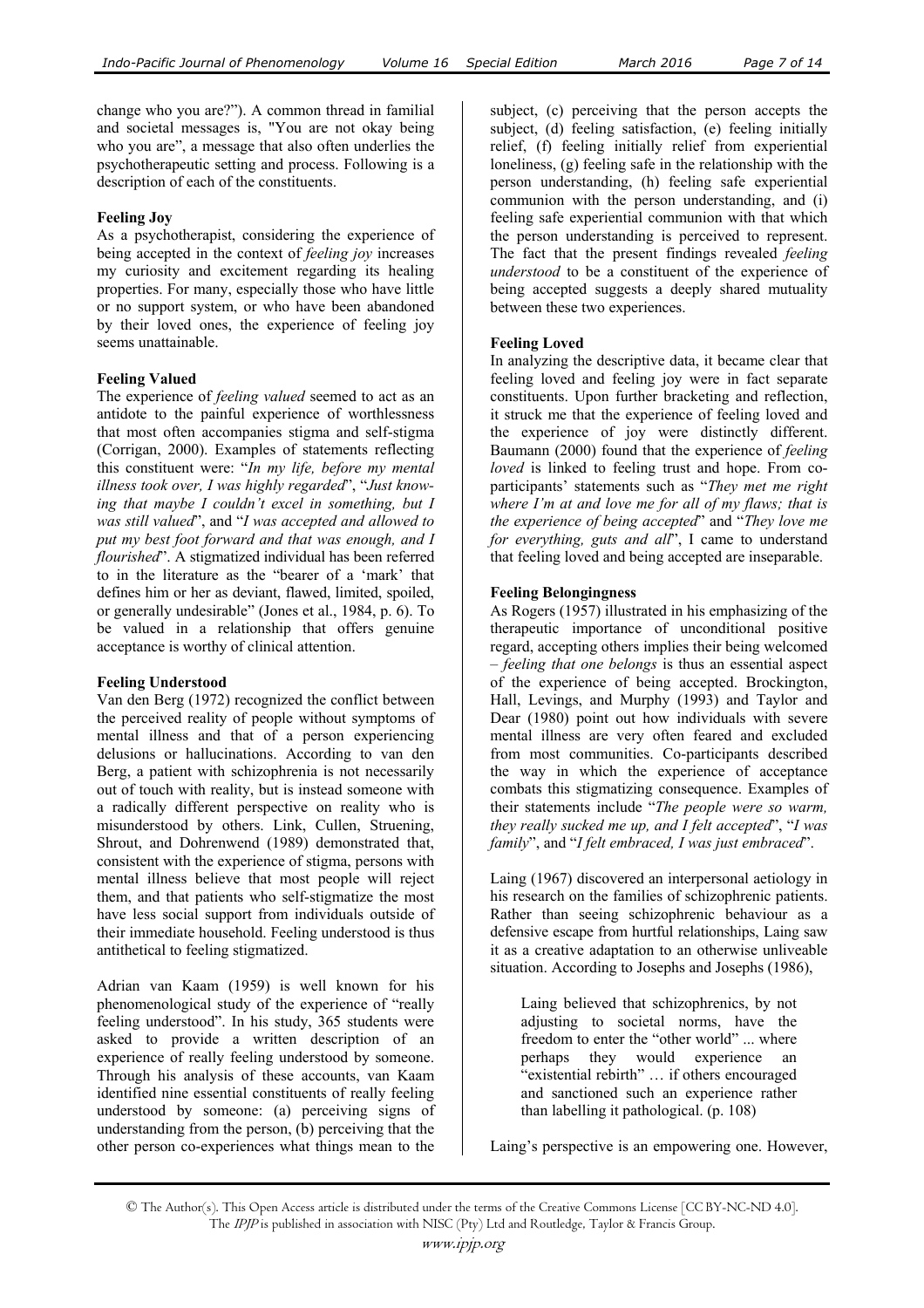change who you are?"). A common thread in familial and societal messages is, "You are not okay being who you are", a message that also often underlies the psychotherapeutic setting and process. Following is a description of each of the constituents.

### **Feeling Joy**

As a psychotherapist, considering the experience of being accepted in the context of *feeling joy* increases my curiosity and excitement regarding its healing properties. For many, especially those who have little or no support system, or who have been abandoned by their loved ones, the experience of feeling joy seems unattainable.

### **Feeling Valued**

The experience of *feeling valued* seemed to act as an antidote to the painful experience of worthlessness that most often accompanies stigma and self-stigma (Corrigan, 2000). Examples of statements reflecting this constituent were: "*In my life, before my mental illness took over, I was highly regarded*", "*Just knowing that maybe I couldn't excel in something, but I was still valued*", and "*I was accepted and allowed to put my best foot forward and that was enough, and I flourished*". A stigmatized individual has been referred to in the literature as the "bearer of a 'mark' that defines him or her as deviant, flawed, limited, spoiled, or generally undesirable" (Jones et al., 1984, p. 6). To be valued in a relationship that offers genuine acceptance is worthy of clinical attention.

# **Feeling Understood**

Van den Berg (1972) recognized the conflict between the perceived reality of people without symptoms of mental illness and that of a person experiencing delusions or hallucinations. According to van den Berg, a patient with schizophrenia is not necessarily out of touch with reality, but is instead someone with a radically different perspective on reality who is misunderstood by others. Link, Cullen, Struening, Shrout, and Dohrenwend (1989) demonstrated that, consistent with the experience of stigma, persons with mental illness believe that most people will reject them, and that patients who self-stigmatize the most have less social support from individuals outside of their immediate household. Feeling understood is thus antithetical to feeling stigmatized.

Adrian van Kaam (1959) is well known for his phenomenological study of the experience of "really feeling understood". In his study, 365 students were asked to provide a written description of an experience of really feeling understood by someone. Through his analysis of these accounts, van Kaam identified nine essential constituents of really feeling understood by someone: (a) perceiving signs of understanding from the person, (b) perceiving that the other person co-experiences what things mean to the

subject, (c) perceiving that the person accepts the subject, (d) feeling satisfaction, (e) feeling initially relief, (f) feeling initially relief from experiential loneliness, (g) feeling safe in the relationship with the person understanding, (h) feeling safe experiential communion with the person understanding, and (i) feeling safe experiential communion with that which the person understanding is perceived to represent. The fact that the present findings revealed *feeling understood* to be a constituent of the experience of being accepted suggests a deeply shared mutuality between these two experiences.

### **Feeling Loved**

In analyzing the descriptive data, it became clear that feeling loved and feeling joy were in fact separate constituents. Upon further bracketing and reflection, it struck me that the experience of feeling loved and the experience of joy were distinctly different. Baumann (2000) found that the experience of *feeling loved* is linked to feeling trust and hope. From coparticipants' statements such as "*They met me right where I'm at and love me for all of my flaws; that is the experience of being accepted*" and "*They love me for everything, guts and all*", I came to understand that feeling loved and being accepted are inseparable.

### **Feeling Belongingness**

As Rogers (1957) illustrated in his emphasizing of the therapeutic importance of unconditional positive regard, accepting others implies their being welcomed – *feeling that one belongs* is thus an essential aspect of the experience of being accepted. Brockington, Hall, Levings, and Murphy (1993) and Taylor and Dear (1980) point out how individuals with severe mental illness are very often feared and excluded from most communities. Co-participants described the way in which the experience of acceptance combats this stigmatizing consequence. Examples of their statements include "*The people were so warm, they really sucked me up, and I felt accepted*", "*I was family*", and "*I felt embraced, I was just embraced*".

Laing (1967) discovered an interpersonal aetiology in his research on the families of schizophrenic patients. Rather than seeing schizophrenic behaviour as a defensive escape from hurtful relationships, Laing saw it as a creative adaptation to an otherwise unliveable situation. According to Josephs and Josephs (1986),

Laing believed that schizophrenics, by not adjusting to societal norms, have the freedom to enter the "other world" ... where perhaps they would experience an "existential rebirth" … if others encouraged and sanctioned such an experience rather than labelling it pathological. (p. 108)

Laing's perspective is an empowering one. However,

<sup>©</sup> The Author(s). This Open Access article is distributed under the terms of the Creative Commons License [CC BY-NC-ND 4.0]. The IPJP is published in association with NISC (Pty) Ltd and Routledge, Taylor & Francis Group.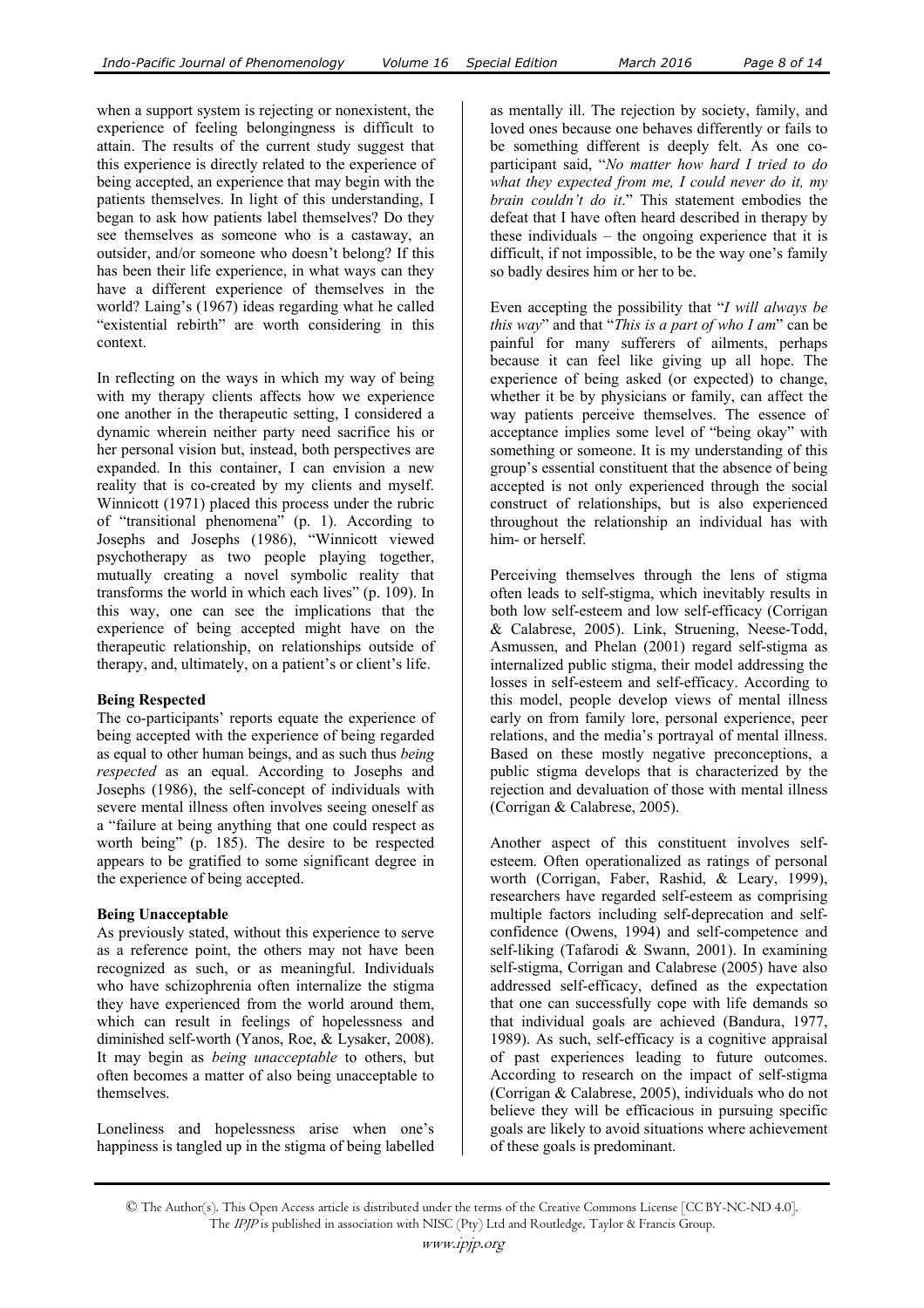when a support system is rejecting or nonexistent, the experience of feeling belongingness is difficult to attain. The results of the current study suggest that this experience is directly related to the experience of being accepted, an experience that may begin with the patients themselves. In light of this understanding, I began to ask how patients label themselves? Do they see themselves as someone who is a castaway, an outsider, and/or someone who doesn't belong? If this has been their life experience, in what ways can they have a different experience of themselves in the world? Laing's (1967) ideas regarding what he called "existential rebirth" are worth considering in this context.

In reflecting on the ways in which my way of being with my therapy clients affects how we experience one another in the therapeutic setting, I considered a dynamic wherein neither party need sacrifice his or her personal vision but, instead, both perspectives are expanded. In this container, I can envision a new reality that is co-created by my clients and myself. Winnicott (1971) placed this process under the rubric of "transitional phenomena" (p. 1). According to Josephs and Josephs (1986), "Winnicott viewed psychotherapy as two people playing together, mutually creating a novel symbolic reality that transforms the world in which each lives" (p. 109). In this way, one can see the implications that the experience of being accepted might have on the therapeutic relationship, on relationships outside of therapy, and, ultimately, on a patient's or client's life.

### **Being Respected**

The co-participants' reports equate the experience of being accepted with the experience of being regarded as equal to other human beings, and as such thus *being respected* as an equal. According to Josephs and Josephs (1986), the self-concept of individuals with severe mental illness often involves seeing oneself as a "failure at being anything that one could respect as worth being" (p. 185). The desire to be respected appears to be gratified to some significant degree in the experience of being accepted.

# **Being Unacceptable**

As previously stated, without this experience to serve as a reference point, the others may not have been recognized as such, or as meaningful. Individuals who have schizophrenia often internalize the stigma they have experienced from the world around them, which can result in feelings of hopelessness and diminished self-worth (Yanos, Roe, & Lysaker, 2008). It may begin as *being unacceptable* to others, but often becomes a matter of also being unacceptable to themselves.

Loneliness and hopelessness arise when one's happiness is tangled up in the stigma of being labelled as mentally ill. The rejection by society, family, and loved ones because one behaves differently or fails to be something different is deeply felt. As one coparticipant said, "*No matter how hard I tried to do what they expected from me, I could never do it, my brain couldn't do it*." This statement embodies the defeat that I have often heard described in therapy by these individuals – the ongoing experience that it is difficult, if not impossible, to be the way one's family so badly desires him or her to be.

Even accepting the possibility that "*I will always be this way*" and that "*This is a part of who I am*" can be painful for many sufferers of ailments, perhaps because it can feel like giving up all hope. The experience of being asked (or expected) to change, whether it be by physicians or family, can affect the way patients perceive themselves. The essence of acceptance implies some level of "being okay" with something or someone. It is my understanding of this group's essential constituent that the absence of being accepted is not only experienced through the social construct of relationships, but is also experienced throughout the relationship an individual has with him- or herself.

Perceiving themselves through the lens of stigma often leads to self-stigma, which inevitably results in both low self-esteem and low self-efficacy (Corrigan & Calabrese, 2005). Link, Struening, Neese-Todd, Asmussen, and Phelan (2001) regard self-stigma as internalized public stigma, their model addressing the losses in self-esteem and self-efficacy. According to this model, people develop views of mental illness early on from family lore, personal experience, peer relations, and the media's portrayal of mental illness. Based on these mostly negative preconceptions, a public stigma develops that is characterized by the rejection and devaluation of those with mental illness (Corrigan & Calabrese, 2005).

Another aspect of this constituent involves selfesteem. Often operationalized as ratings of personal worth (Corrigan, Faber, Rashid, & Leary, 1999), researchers have regarded self-esteem as comprising multiple factors including self-deprecation and selfconfidence (Owens, 1994) and self-competence and self-liking (Tafarodi & Swann, 2001). In examining self-stigma, Corrigan and Calabrese (2005) have also addressed self-efficacy, defined as the expectation that one can successfully cope with life demands so that individual goals are achieved (Bandura, 1977, 1989). As such, self-efficacy is a cognitive appraisal of past experiences leading to future outcomes. According to research on the impact of self-stigma (Corrigan & Calabrese, 2005), individuals who do not believe they will be efficacious in pursuing specific goals are likely to avoid situations where achievement of these goals is predominant.

<sup>©</sup> The Author(s). This Open Access article is distributed under the terms of the Creative Commons License [CC BY-NC-ND 4.0]. The IPJP is published in association with NISC (Pty) Ltd and Routledge, Taylor & Francis Group.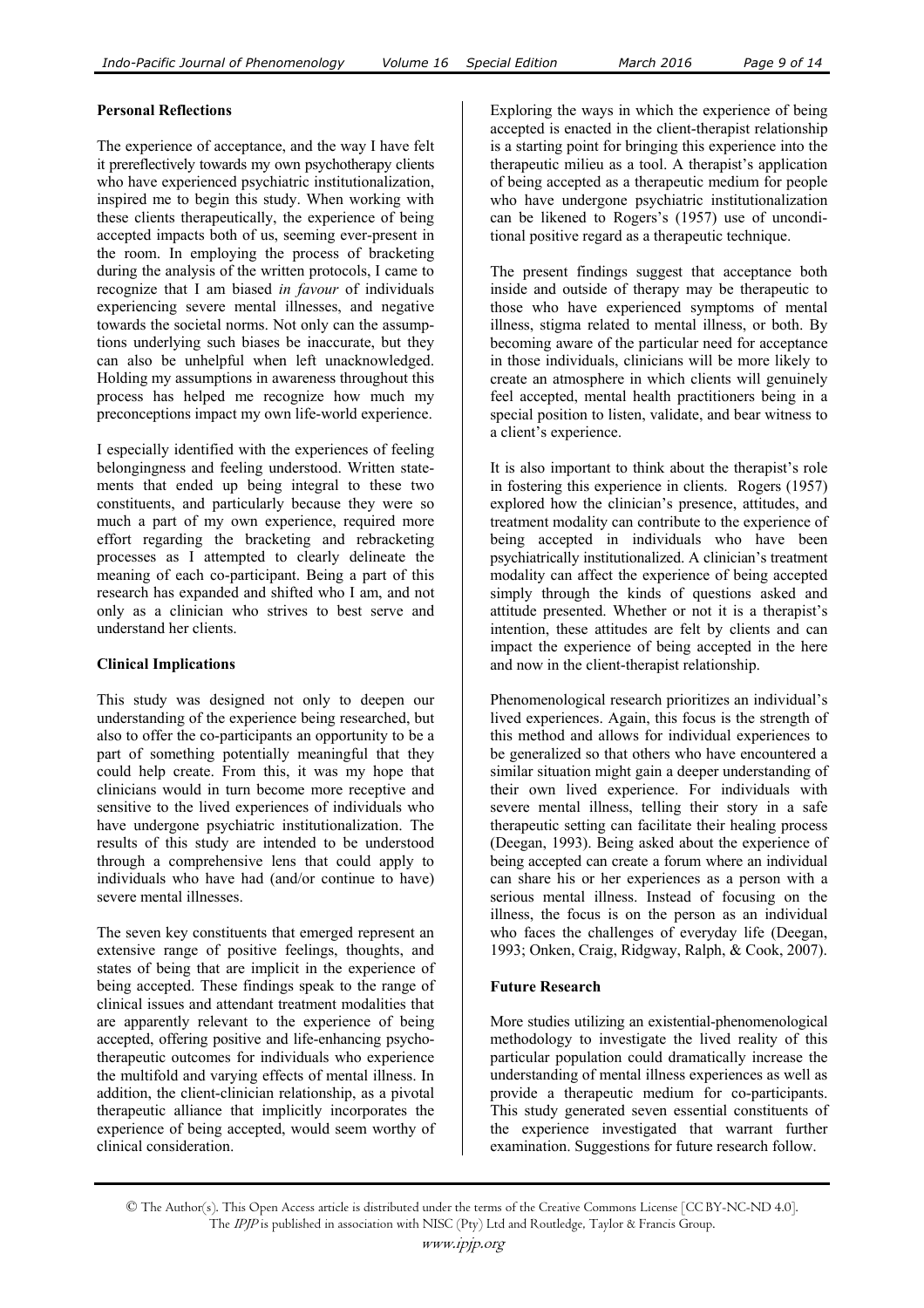### **Personal Reflections**

The experience of acceptance, and the way I have felt it prereflectively towards my own psychotherapy clients who have experienced psychiatric institutionalization, inspired me to begin this study. When working with these clients therapeutically, the experience of being accepted impacts both of us, seeming ever-present in the room. In employing the process of bracketing during the analysis of the written protocols, I came to recognize that I am biased *in favour* of individuals experiencing severe mental illnesses, and negative towards the societal norms. Not only can the assumptions underlying such biases be inaccurate, but they can also be unhelpful when left unacknowledged. Holding my assumptions in awareness throughout this process has helped me recognize how much my preconceptions impact my own life-world experience.

I especially identified with the experiences of feeling belongingness and feeling understood. Written statements that ended up being integral to these two constituents, and particularly because they were so much a part of my own experience, required more effort regarding the bracketing and rebracketing processes as I attempted to clearly delineate the meaning of each co-participant. Being a part of this research has expanded and shifted who I am, and not only as a clinician who strives to best serve and understand her clients.

### **Clinical Implications**

This study was designed not only to deepen our understanding of the experience being researched, but also to offer the co-participants an opportunity to be a part of something potentially meaningful that they could help create. From this, it was my hope that clinicians would in turn become more receptive and sensitive to the lived experiences of individuals who have undergone psychiatric institutionalization. The results of this study are intended to be understood through a comprehensive lens that could apply to individuals who have had (and/or continue to have) severe mental illnesses.

The seven key constituents that emerged represent an extensive range of positive feelings, thoughts, and states of being that are implicit in the experience of being accepted. These findings speak to the range of clinical issues and attendant treatment modalities that are apparently relevant to the experience of being accepted, offering positive and life-enhancing psychotherapeutic outcomes for individuals who experience the multifold and varying effects of mental illness. In addition, the client-clinician relationship, as a pivotal therapeutic alliance that implicitly incorporates the experience of being accepted, would seem worthy of clinical consideration.

Exploring the ways in which the experience of being accepted is enacted in the client-therapist relationship is a starting point for bringing this experience into the therapeutic milieu as a tool. A therapist's application of being accepted as a therapeutic medium for people who have undergone psychiatric institutionalization can be likened to Rogers's (1957) use of unconditional positive regard as a therapeutic technique.

The present findings suggest that acceptance both inside and outside of therapy may be therapeutic to those who have experienced symptoms of mental illness, stigma related to mental illness, or both. By becoming aware of the particular need for acceptance in those individuals, clinicians will be more likely to create an atmosphere in which clients will genuinely feel accepted, mental health practitioners being in a special position to listen, validate, and bear witness to a client's experience.

It is also important to think about the therapist's role in fostering this experience in clients. Rogers (1957) explored how the clinician's presence, attitudes, and treatment modality can contribute to the experience of being accepted in individuals who have been psychiatrically institutionalized. A clinician's treatment modality can affect the experience of being accepted simply through the kinds of questions asked and attitude presented. Whether or not it is a therapist's intention, these attitudes are felt by clients and can impact the experience of being accepted in the here and now in the client-therapist relationship.

Phenomenological research prioritizes an individual's lived experiences. Again, this focus is the strength of this method and allows for individual experiences to be generalized so that others who have encountered a similar situation might gain a deeper understanding of their own lived experience. For individuals with severe mental illness, telling their story in a safe therapeutic setting can facilitate their healing process (Deegan, 1993). Being asked about the experience of being accepted can create a forum where an individual can share his or her experiences as a person with a serious mental illness. Instead of focusing on the illness, the focus is on the person as an individual who faces the challenges of everyday life (Deegan, 1993; Onken, Craig, Ridgway, Ralph, & Cook, 2007).

### **Future Research**

More studies utilizing an existential-phenomenological methodology to investigate the lived reality of this particular population could dramatically increase the understanding of mental illness experiences as well as provide a therapeutic medium for co-participants. This study generated seven essential constituents of the experience investigated that warrant further examination. Suggestions for future research follow.

© The Author(s). This Open Access article is distributed under the terms of the Creative Commons License [CC BY-NC-ND 4.0]. The IPJP is published in association with NISC (Pty) Ltd and Routledge, Taylor & Francis Group.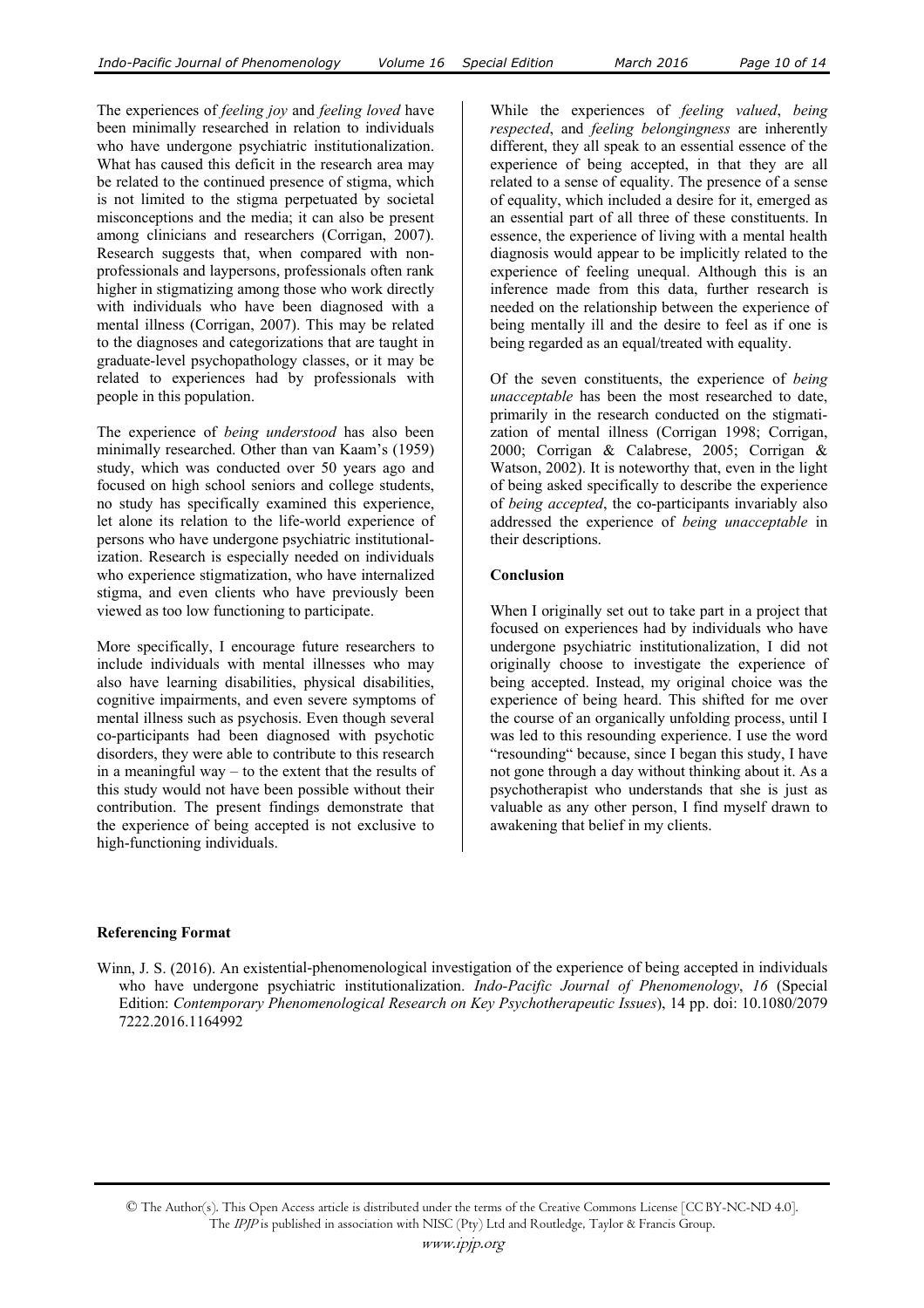The experiences of *feeling joy* and *feeling loved* have been minimally researched in relation to individuals who have undergone psychiatric institutionalization. What has caused this deficit in the research area may be related to the continued presence of stigma, which is not limited to the stigma perpetuated by societal misconceptions and the media; it can also be present among clinicians and researchers (Corrigan, 2007). Research suggests that, when compared with nonprofessionals and laypersons, professionals often rank higher in stigmatizing among those who work directly with individuals who have been diagnosed with a mental illness (Corrigan, 2007). This may be related to the diagnoses and categorizations that are taught in graduate-level psychopathology classes, or it may be related to experiences had by professionals with people in this population.

The experience of *being understood* has also been minimally researched. Other than van Kaam's (1959) study, which was conducted over 50 years ago and focused on high school seniors and college students, no study has specifically examined this experience, let alone its relation to the life-world experience of persons who have undergone psychiatric institutionalization. Research is especially needed on individuals who experience stigmatization, who have internalized stigma, and even clients who have previously been viewed as too low functioning to participate.

More specifically, I encourage future researchers to include individuals with mental illnesses who may also have learning disabilities, physical disabilities, cognitive impairments, and even severe symptoms of mental illness such as psychosis. Even though several co-participants had been diagnosed with psychotic disorders, they were able to contribute to this research in a meaningful way – to the extent that the results of this study would not have been possible without their contribution. The present findings demonstrate that the experience of being accepted is not exclusive to high-functioning individuals.

While the experiences of *feeling valued*, *being respected*, and *feeling belongingness* are inherently different, they all speak to an essential essence of the experience of being accepted, in that they are all related to a sense of equality. The presence of a sense of equality, which included a desire for it, emerged as an essential part of all three of these constituents. In essence, the experience of living with a mental health diagnosis would appear to be implicitly related to the experience of feeling unequal. Although this is an inference made from this data, further research is needed on the relationship between the experience of being mentally ill and the desire to feel as if one is being regarded as an equal/treated with equality.

Of the seven constituents, the experience of *being unacceptable* has been the most researched to date, primarily in the research conducted on the stigmatization of mental illness (Corrigan 1998; Corrigan, 2000; Corrigan & Calabrese, 2005; Corrigan & Watson, 2002). It is noteworthy that, even in the light of being asked specifically to describe the experience of *being accepted*, the co-participants invariably also addressed the experience of *being unacceptable* in their descriptions.

### **Conclusion**

When I originally set out to take part in a project that focused on experiences had by individuals who have undergone psychiatric institutionalization, I did not originally choose to investigate the experience of being accepted. Instead, my original choice was the experience of being heard. This shifted for me over the course of an organically unfolding process, until I was led to this resounding experience. I use the word "resounding" because, since I began this study, I have not gone through a day without thinking about it. As a psychotherapist who understands that she is just as valuable as any other person, I find myself drawn to awakening that belief in my clients.

### **Referencing Format**

Winn, J. S. (2016). An existential-phenomenological investigation of the experience of being accepted in individuals who have undergone psychiatric institutionalization. *Indo-Pacific Journal of Phenomenology*, *16* (Special Edition: *Contemporary Phenomenological Research on Key Psychotherapeutic Issues*), 14 pp. doi: 10.1080/2079 7222.2016.1164992

© The Author(s). This Open Access article is distributed under the terms of the Creative Commons License [CC BY-NC-ND 4.0]. The IPJP is published in association with NISC (Pty) Ltd and Routledge, Taylor & Francis Group.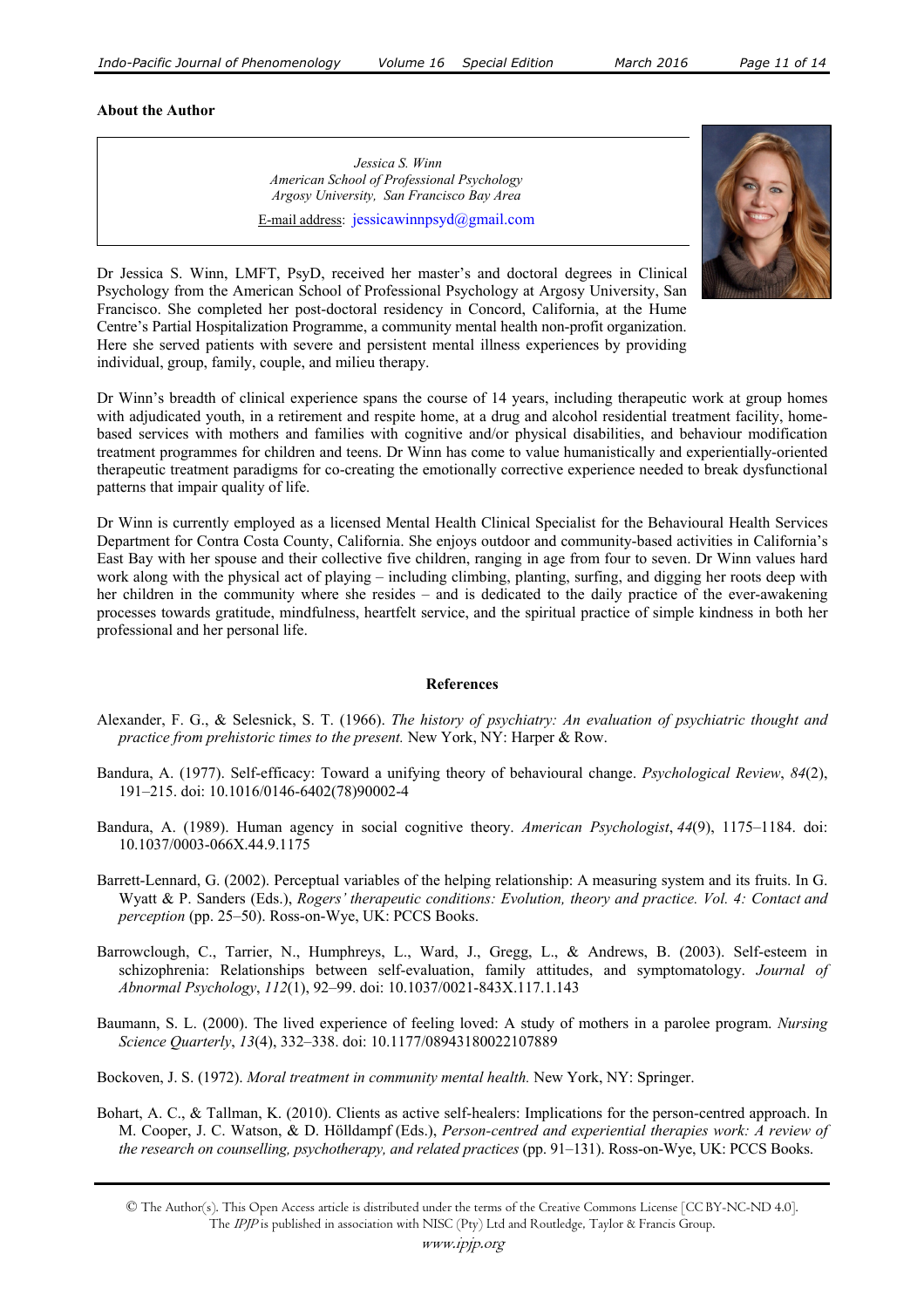#### **About the Author**

 *Jessica S. Winn American School of Professional Psychology Argosy University, San Francisco Bay Area*  E-mail address: jessicawinnpsyd@gmail.com



Dr Jessica S. Winn, LMFT, PsyD, received her master's and doctoral degrees in Clinical Psychology from the American School of Professional Psychology at Argosy University, San Francisco. She completed her post-doctoral residency in Concord, California, at the Hume Centre's Partial Hospitalization Programme, a community mental health non-profit organization. Here she served patients with severe and persistent mental illness experiences by providing individual, group, family, couple, and milieu therapy.

Dr Winn's breadth of clinical experience spans the course of 14 years, including therapeutic work at group homes with adjudicated youth, in a retirement and respite home, at a drug and alcohol residential treatment facility, homebased services with mothers and families with cognitive and/or physical disabilities, and behaviour modification treatment programmes for children and teens. Dr Winn has come to value humanistically and experientially-oriented therapeutic treatment paradigms for co-creating the emotionally corrective experience needed to break dysfunctional patterns that impair quality of life.

Dr Winn is currently employed as a licensed Mental Health Clinical Specialist for the Behavioural Health Services Department for Contra Costa County, California. She enjoys outdoor and community-based activities in California's East Bay with her spouse and their collective five children, ranging in age from four to seven. Dr Winn values hard work along with the physical act of playing – including climbing, planting, surfing, and digging her roots deep with her children in the community where she resides – and is dedicated to the daily practice of the ever-awakening processes towards gratitude, mindfulness, heartfelt service, and the spiritual practice of simple kindness in both her professional and her personal life.

#### **References**

- Alexander, F. G., & Selesnick, S. T. (1966). *The history of psychiatry: An evaluation of psychiatric thought and practice from prehistoric times to the present.* New York, NY: Harper & Row.
- Bandura, A. (1977). Self-efficacy: Toward a unifying theory of behavioural change. *Psychological Review*, *84*(2), 191–215. doi: 10.1016/0146-6402(78)90002-4
- Bandura, A. (1989). Human agency in social cognitive theory. *American Psychologist*, *44*(9), 1175–1184. doi: 10.1037/0003-066X.44.9.1175
- Barrett-Lennard, G. (2002). Perceptual variables of the helping relationship: A measuring system and its fruits. In G. Wyatt & P. Sanders (Eds.), *Rogers' therapeutic conditions: Evolution, theory and practice. Vol. 4: Contact and perception* (pp. 25–50). Ross-on-Wye, UK: PCCS Books.
- Barrowclough, C., Tarrier, N., Humphreys, L., Ward, J., Gregg, L., & Andrews, B. (2003). Self-esteem in schizophrenia: Relationships between self-evaluation, family attitudes, and symptomatology. *Journal of Abnormal Psychology*, *112*(1), 92–99. doi: 10.1037/0021-843X.117.1.143
- Baumann, S. L. (2000). The lived experience of feeling loved: A study of mothers in a parolee program. *Nursing Science Quarterly*, *13*(4), 332–338. doi: 10.1177/08943180022107889
- Bockoven, J. S. (1972). *Moral treatment in community mental health.* New York, NY: Springer.
- Bohart, A. C., & Tallman, K. (2010). Clients as active self-healers: Implications for the person-centred approach. In M. Cooper, J. C. Watson, & D. Hölldampf (Eds.), *Person-centred and experiential therapies work: A review of the research on counselling, psychotherapy, and related practices* (pp. 91–131). Ross-on-Wye, UK: PCCS Books.

<sup>©</sup> The Author(s). This Open Access article is distributed under the terms of the Creative Commons License [CC BY-NC-ND 4.0]. The IPJP is published in association with NISC (Pty) Ltd and Routledge, Taylor & Francis Group.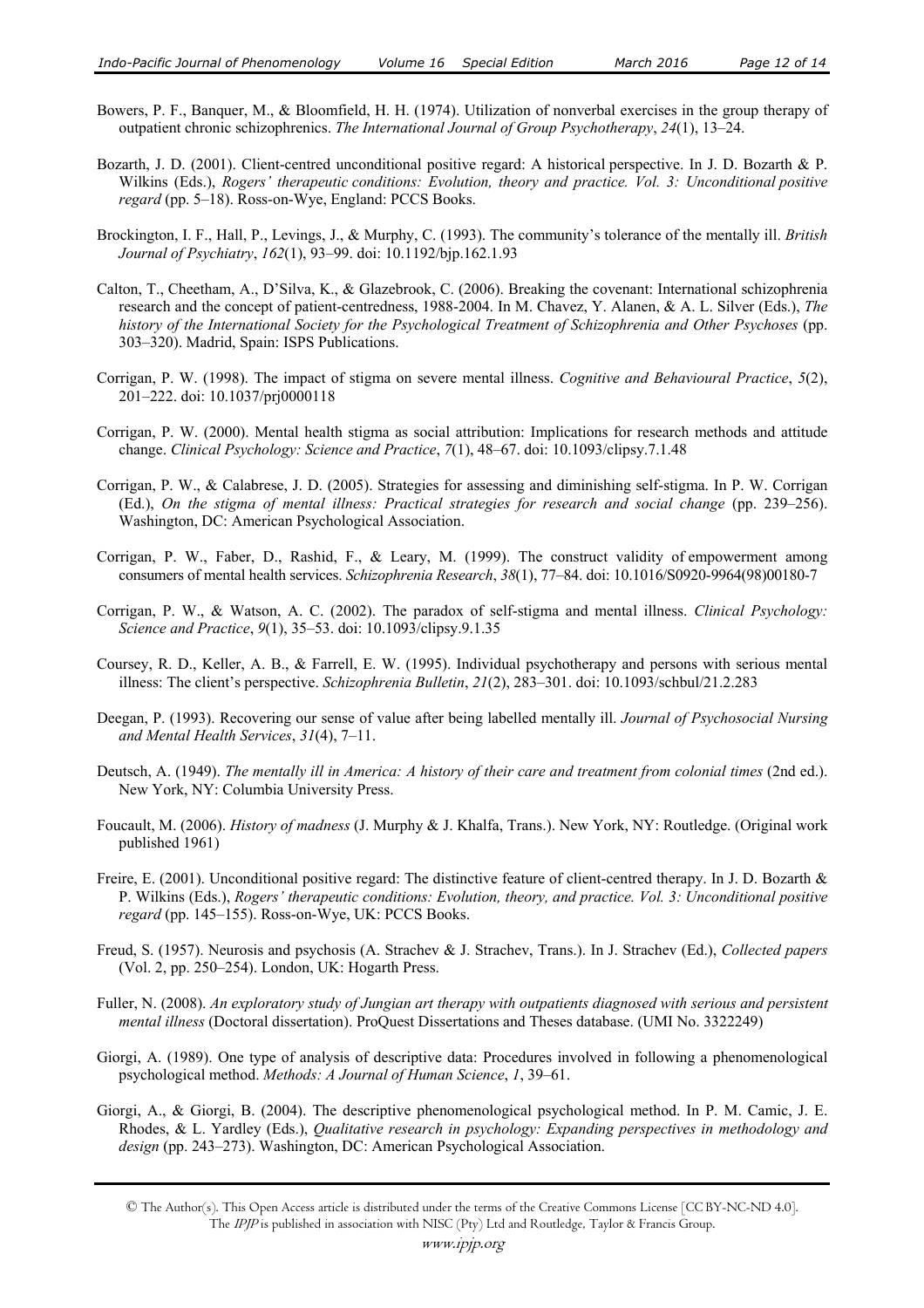- Bowers, P. F., Banquer, M., & Bloomfield, H. H. (1974). Utilization of nonverbal exercises in the group therapy of outpatient chronic schizophrenics. *The International Journal of Group Psychotherapy*, *24*(1), 13–24.
- Bozarth, J. D. (2001). Client-centred unconditional positive regard: A historical perspective. In J. D. Bozarth & P. Wilkins (Eds.), *Rogers' therapeutic conditions: Evolution, theory and practice. Vol. 3: Unconditional positive regard* (pp. 5–18). Ross-on-Wye, England: PCCS Books.
- Brockington, I. F., Hall, P., Levings, J., & Murphy, C. (1993). The community's tolerance of the mentally ill. *British Journal of Psychiatry*, *162*(1), 93–99. doi: 10.1192/bjp.162.1.93
- Calton, T., Cheetham, A., D'Silva, K., & Glazebrook, C. (2006). Breaking the covenant: International schizophrenia research and the concept of patient-centredness, 1988-2004. In M. Chavez, Y. Alanen, & A. L. Silver (Eds.), *The history of the International Society for the Psychological Treatment of Schizophrenia and Other Psychoses* (pp. 303–320). Madrid, Spain: ISPS Publications.
- Corrigan, P. W. (1998). The impact of stigma on severe mental illness. *Cognitive and Behavioural Practice*, *5*(2), 201–222. doi: 10.1037/prj0000118
- Corrigan, P. W. (2000). Mental health stigma as social attribution: Implications for research methods and attitude change. *Clinical Psychology: Science and Practice*, *7*(1), 48–67. doi: 10.1093/clipsy.7.1.48
- Corrigan, P. W., & Calabrese, J. D. (2005). Strategies for assessing and diminishing self-stigma. In P. W. Corrigan (Ed.), *On the stigma of mental illness: Practical strategies for research and social change* (pp. 239–256). Washington, DC: American Psychological Association.
- Corrigan, P. W., Faber, D., Rashid, F., & Leary, M. (1999). The construct validity of empowerment among consumers of mental health services. *Schizophrenia Research*, *38*(1), 77–84. doi: 10.1016/S0920-9964(98)00180-7
- Corrigan, P. W., & Watson, A. C. (2002). The paradox of self-stigma and mental illness. *Clinical Psychology: Science and Practice*, *9*(1), 35–53. doi: 10.1093/clipsy.9.1.35
- Coursey, R. D., Keller, A. B., & Farrell, E. W. (1995). Individual psychotherapy and persons with serious mental illness: The client's perspective. *Schizophrenia Bulletin*, *21*(2), 283–301. doi: 10.1093/schbul/21.2.283
- Deegan, P. (1993). Recovering our sense of value after being labelled mentally ill. *Journal of Psychosocial Nursing and Mental Health Services*, *31*(4), 7–11.
- Deutsch, A. (1949). *The mentally ill in America: A history of their care and treatment from colonial times* (2nd ed.). New York, NY: Columbia University Press.
- Foucault, M. (2006). *History of madness* (J. Murphy & J. Khalfa, Trans.). New York, NY: Routledge. (Original work published 1961)
- Freire, E. (2001). Unconditional positive regard: The distinctive feature of client-centred therapy. In J. D. Bozarth & P. Wilkins (Eds.), *Rogers' therapeutic conditions: Evolution, theory, and practice. Vol. 3: Unconditional positive regard* (pp. 145–155). Ross-on-Wye, UK: PCCS Books.
- Freud, S. (1957). Neurosis and psychosis (A. Strachev & J. Strachev, Trans.). In J. Strachev (Ed.), *Collected papers* (Vol. 2, pp. 250–254). London, UK: Hogarth Press.
- Fuller, N. (2008). *An exploratory study of Jungian art therapy with outpatients diagnosed with serious and persistent mental illness* (Doctoral dissertation). ProQuest Dissertations and Theses database. (UMI No. 3322249)
- Giorgi, A. (1989). One type of analysis of descriptive data: Procedures involved in following a phenomenological psychological method. *Methods: A Journal of Human Science*, *1*, 39–61.
- Giorgi, A., & Giorgi, B. (2004). The descriptive phenomenological psychological method. In P. M. Camic, J. E. Rhodes, & L. Yardley (Eds.), *Qualitative research in psychology: Expanding perspectives in methodology and design* (pp. 243–273). Washington, DC: American Psychological Association.

<sup>©</sup> The Author(s). This Open Access article is distributed under the terms of the Creative Commons License [CC BY-NC-ND 4.0]. The IPJP is published in association with NISC (Pty) Ltd and Routledge, Taylor & Francis Group.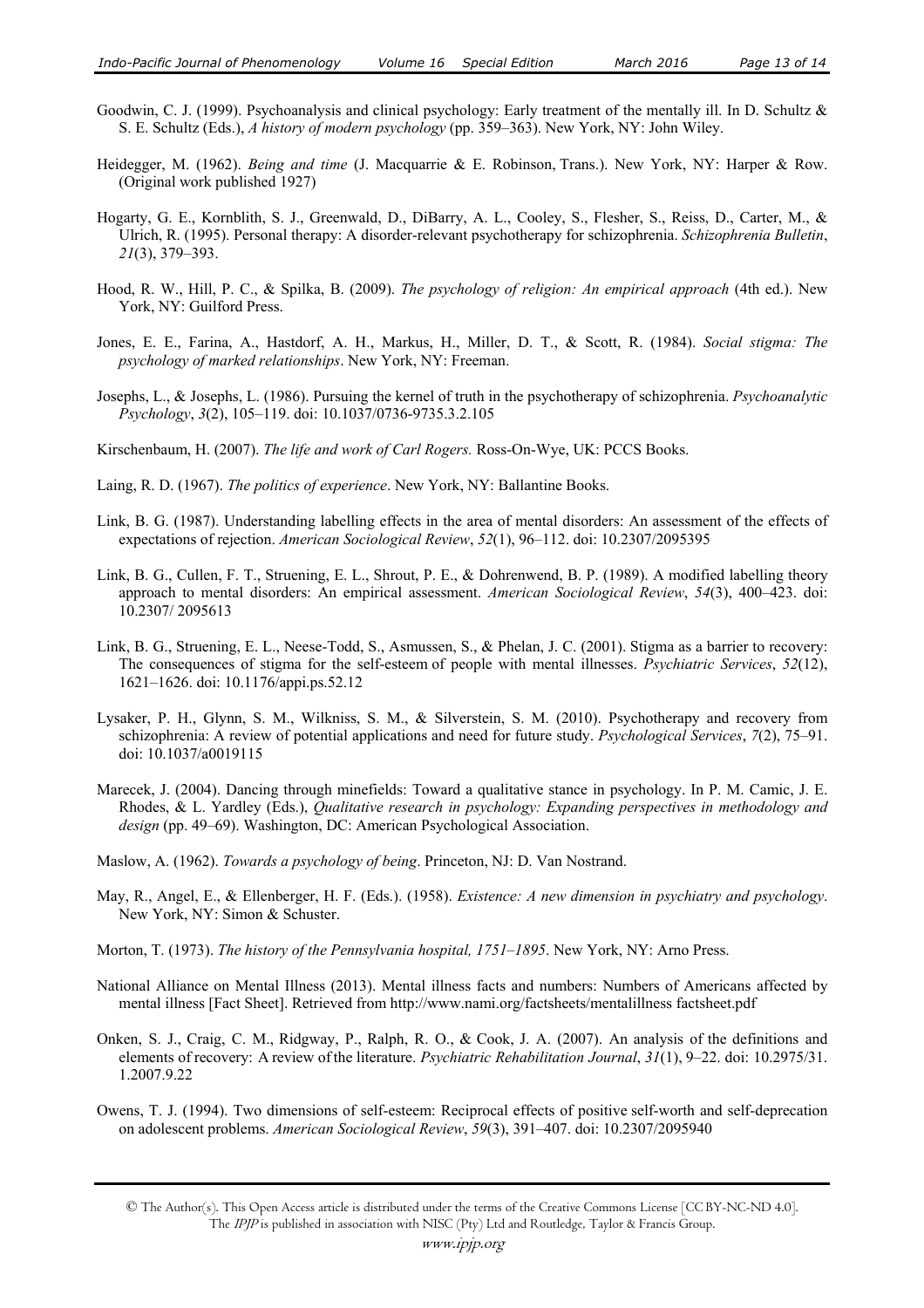- Goodwin, C. J. (1999). Psychoanalysis and clinical psychology: Early treatment of the mentally ill. In D. Schultz & S. E. Schultz (Eds.), *A history of modern psychology* (pp. 359–363). New York, NY: John Wiley.
- Heidegger, M. (1962). *Being and time* (J. Macquarrie & E. Robinson, Trans.). New York, NY: Harper & Row. (Original work published 1927)
- Hogarty, G. E., Kornblith, S. J., Greenwald, D., DiBarry, A. L., Cooley, S., Flesher, S., Reiss, D., Carter, M., & Ulrich, R. (1995). Personal therapy: A disorder-relevant psychotherapy for schizophrenia. *Schizophrenia Bulletin*, *21*(3), 379–393.
- Hood, R. W., Hill, P. C., & Spilka, B. (2009). *The psychology of religion: An empirical approach* (4th ed.). New York, NY: Guilford Press.
- Jones, E. E., Farina, A., Hastdorf, A. H., Markus, H., Miller, D. T., & Scott, R. (1984). *Social stigma: The psychology of marked relationships*. New York, NY: Freeman.
- Josephs, L., & Josephs, L. (1986). Pursuing the kernel of truth in the psychotherapy of schizophrenia. *Psychoanalytic Psychology*, *3*(2), 105–119. doi: 10.1037/0736-9735.3.2.105
- Kirschenbaum, H. (2007). *The life and work of Carl Rogers.* Ross-On-Wye, UK: PCCS Books.
- Laing, R. D. (1967). *The politics of experience*. New York, NY: Ballantine Books.
- Link, B. G. (1987). Understanding labelling effects in the area of mental disorders: An assessment of the effects of expectations of rejection. *American Sociological Review*, *52*(1), 96–112. doi: 10.2307/2095395
- Link, B. G., Cullen, F. T., Struening, E. L., Shrout, P. E., & Dohrenwend, B. P. (1989). A modified labelling theory approach to mental disorders: An empirical assessment. *American Sociological Review*, *54*(3), 400–423. doi: 10.2307/ 2095613
- Link, B. G., Struening, E. L., Neese-Todd, S., Asmussen, S., & Phelan, J. C. (2001). Stigma as a barrier to recovery: The consequences of stigma for the self-esteem of people with mental illnesses. *Psychiatric Services*, *52*(12), 1621–1626. doi: 10.1176/appi.ps.52.12
- Lysaker, P. H., Glynn, S. M., Wilkniss, S. M., & Silverstein, S. M. (2010). Psychotherapy and recovery from schizophrenia: A review of potential applications and need for future study. *Psychological Services*, *7*(2), 75–91. doi: 10.1037/a0019115
- Marecek, J. (2004). Dancing through minefields: Toward a qualitative stance in psychology. In P. M. Camic, J. E. Rhodes, & L. Yardley (Eds.), *Qualitative research in psychology: Expanding perspectives in methodology and design* (pp. 49–69). Washington, DC: American Psychological Association.
- Maslow, A. (1962). *Towards a psychology of being*. Princeton, NJ: D. Van Nostrand.
- May, R., Angel, E., & Ellenberger, H. F. (Eds.). (1958). *Existence: A new dimension in psychiatry and psychology*. New York, NY: Simon & Schuster.
- Morton, T. (1973). *The history of the Pennsylvania hospital, 1751*–*1895*. New York, NY: Arno Press.
- National Alliance on Mental Illness (2013). Mental illness facts and numbers: Numbers of Americans affected by mental illness [Fact Sheet]. Retrieved from http://www.nami.org/factsheets/mentalillness factsheet.pdf
- Onken, S. J., Craig, C. M., Ridgway, P., Ralph, R. O., & Cook, J. A. (2007). An analysis of the definitions and elements of recovery: A review of the literature. *Psychiatric Rehabilitation Journal*, *31*(1), 9–22. doi: 10.2975/31. 1.2007.9.22
- Owens, T. J. (1994). Two dimensions of self-esteem: Reciprocal effects of positive self-worth and self-deprecation on adolescent problems. *American Sociological Review*, *59*(3), 391–407. doi: 10.2307/2095940

<sup>©</sup> The Author(s). This Open Access article is distributed under the terms of the Creative Commons License [CC BY-NC-ND 4.0]. The IPJP is published in association with NISC (Pty) Ltd and Routledge, Taylor & Francis Group.